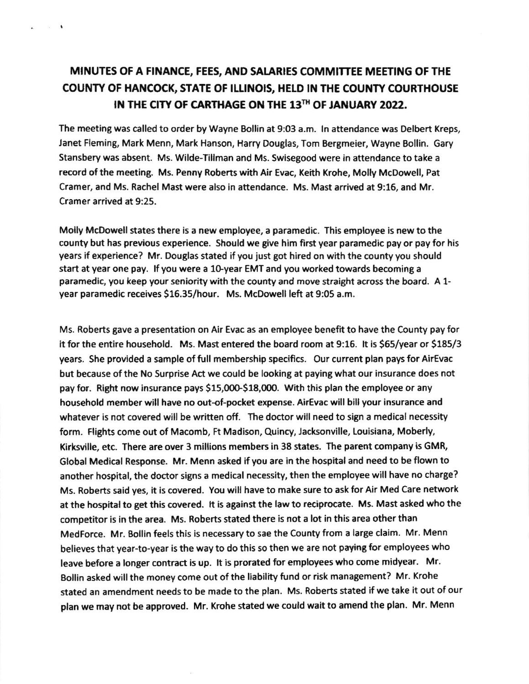## MINUTES OF A FINANCE, FEES, AND SALARIES COMMITTEE MEETING OF THE COUNTY OF HANCOCK, STATE OF ILLINOIS, HELD IN THE COUNTY COURTHOUSE IN THE CITY OF CARTHAGE ON THE 13TH OF JANUARY 2022.

 $\sim$   $\sim$   $\sim$ 

The meeting was called to order by Wayne Bollin at 9:03 a.m. ln attendance was Delbert Kreps, Janet Fleming, Mark Menn, Mark Hanson, Harry Douglas, Tom Bergmeier, Wayne Bollin. Gary Stansbery was absent. Ms. Wilde-Tillman and Ms. Swisegood were in attendance to take <sup>a</sup> record of the meeting. Ms. Penny Roberts with Air Evac, Keith Krohe, Molly McDowell, Pat Cramer, and Ms. Rachel Mast were also in attendance. Ms. Mast arrived at 9:16, and Mr. Cramer arrived at 9:25.

Molly McDowell states there is a new employee, a paramedic. This employee is new to the county but has previous experience. Should we give him first year paramedic pay or pay for his years if experience? Mr. Douglas stated if you just got hired on with the county you should start at year one pay. If you were a 10-year EMT and you worked towards becoming a paramedic, you keep your seniority with the county and move straight across the board. A 1 year paramedic receives S16.35/hour. Ms. McDowell left at 9:05 a.m.

Ms. Roberts gave a presentation on Air Evac as an employee benefit to have the County pay for it for the entire household, Ms. Mast entered the board room at 9:16. lt is S55/year or 5185/3 years. She provided a sample of full membership specifics. Our current plan pays for AirEvac but because ofthe No Surprise Act we could be looking at paying what our insurance does not pay for. Right now insurance pays \$15,000-\$18,000. With this plan the employee or any household member will have no out-of-pocket expense. AirEvac will bill your insurance and whatever is not covered will be written off. The doctor will need to sign a medical necessity form. Flights come out of Macomb, Ft Madison, Quincy, iacksonville, Louisiana, Moberly, Kirksville, etc. There are over 3 millions members in 38 states. The parent company is GMR, Global Medical Response. Mr. Menn asked if you are in the hospital and need to be flown to another hospital, the doctor signs a medical necessity, then the employee will have no charge? Ms. Roberts said yes, it is covered. You will have to make sure to ask for Air Med Care network at the hospital to get this covered. It is against the law to reciprocate. Ms. Mast asked who the competitor is in the area. Ms. Roberts stated there is not a lot in this area other than MedForce. Mr. Bollin feels this is necessary to sae the County from a large claim. Mr. Menn believes that year-to-year is the way to do this so then we are not paying for employees who leave before a longer contract is up. lt is prorated for employees who come midyear. Mr. Bollin asked will the money come out of the liability fund or risk management? Mr. Krohe stated an amendment needs to be made to the plan. Ms. Roberts stated if we take it out of our plan we may not be approved. Mr. Krohe stated we could wait to amend the plan. Mr. Menn